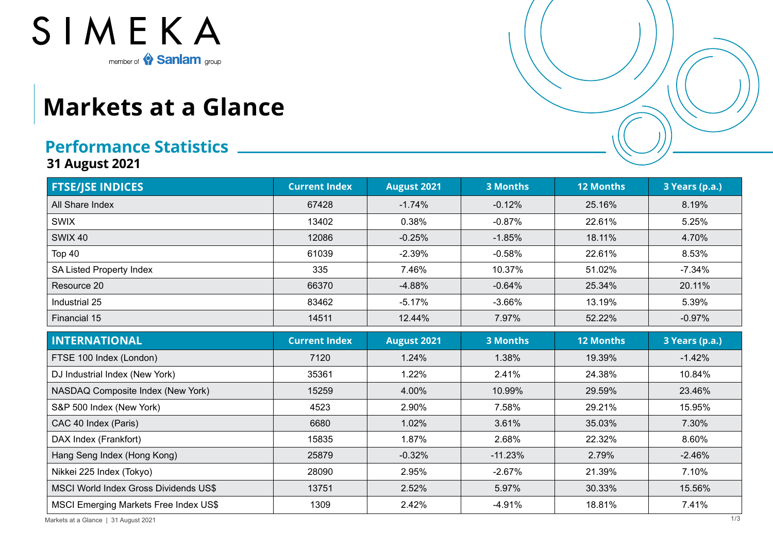

## **Markets at a Glance**

## **Performance Statistics**

**31 August 2021**

| <b>FTSE/JSE INDICES</b>                      | <b>Current Index</b> | <b>August 2021</b> | <b>3 Months</b> | <b>12 Months</b> | 3 Years (p.a.) |
|----------------------------------------------|----------------------|--------------------|-----------------|------------------|----------------|
| All Share Index                              | 67428                | $-1.74%$           | $-0.12%$        | 25.16%           | 8.19%          |
| <b>SWIX</b>                                  | 13402                | 0.38%              | $-0.87%$        | 22.61%           | 5.25%          |
| <b>SWIX 40</b>                               | 12086                | $-0.25%$           | $-1.85%$        | 18.11%           | 4.70%          |
| Top 40                                       | 61039                | $-2.39%$           | $-0.58%$        | 22.61%           | 8.53%          |
| <b>SA Listed Property Index</b>              | 335                  | 7.46%              | 10.37%          | 51.02%           | $-7.34%$       |
| Resource 20                                  | 66370                | $-4.88%$           | $-0.64%$        | 25.34%           | 20.11%         |
| Industrial 25                                | 83462                | $-5.17%$           | $-3.66%$        | 13.19%           | 5.39%          |
| Financial 15                                 | 14511                | 12.44%             | 7.97%           | 52.22%           | $-0.97%$       |
| <b>INTERNATIONAL</b>                         | <b>Current Index</b> | <b>August 2021</b> | <b>3 Months</b> | <b>12 Months</b> | 3 Years (p.a.) |
| FTSE 100 Index (London)                      | 7120                 | 1.24%              | 1.38%           | 19.39%           | $-1.42%$       |
| DJ Industrial Index (New York)               | 35361                | 1.22%              | 2.41%           | 24.38%           | 10.84%         |
| NASDAQ Composite Index (New York)            | 15259                | 4.00%              | 10.99%          | 29.59%           | 23.46%         |
| S&P 500 Index (New York)                     | 4523                 | 2.90%              | 7.58%           | 29.21%           | 15.95%         |
| CAC 40 Index (Paris)                         | 6680                 | 1.02%              | 3.61%           | 35.03%           | 7.30%          |
| DAX Index (Frankfort)                        | 15835                | 1.87%              | 2.68%           | 22.32%           | 8.60%          |
| Hang Seng Index (Hong Kong)                  | 25879                | $-0.32%$           | $-11.23%$       | 2.79%            | $-2.46%$       |
| Nikkei 225 Index (Tokyo)                     | 28090                | 2.95%              | $-2.67%$        | 21.39%           | 7.10%          |
| MSCI World Index Gross Dividends US\$        | 13751                | 2.52%              | 5.97%           | 30.33%           | 15.56%         |
| <b>MSCI Emerging Markets Free Index US\$</b> | 1309                 | 2.42%              | $-4.91%$        | 18.81%           | 7.41%          |

Markets at a Glance | 31 August 2021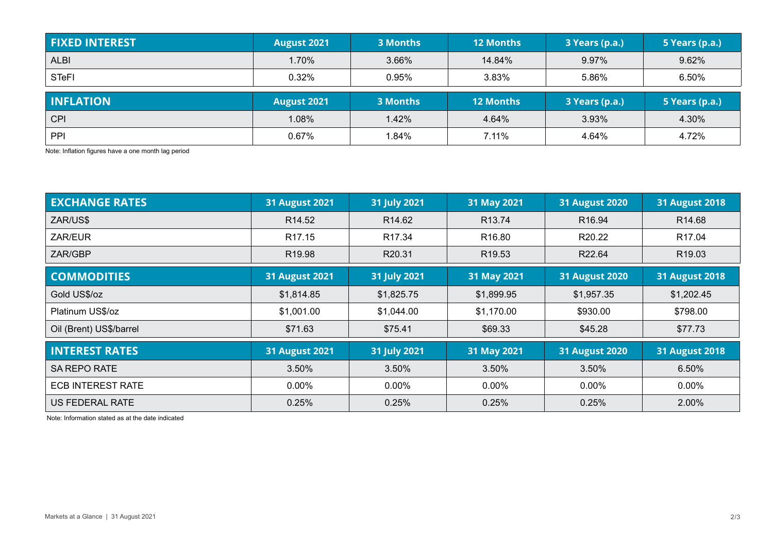| <b>FIXED INTEREST</b> | <b>August 2021</b> | <b>3 Months</b> | <b>12 Months</b> | 3 Years (p.a.) | 5 Years (p.a.) |
|-----------------------|--------------------|-----------------|------------------|----------------|----------------|
| <b>ALBI</b>           | 1.70%              | 3.66%           | 14.84%           | 9.97%          | 9.62%          |
| <b>STeFI</b>          | 0.32%              | 0.95%           | 3.83%            | 5.86%          | 6.50%          |
| <b>INFLATION</b>      | <b>August 2021</b> | 3 Months        | <b>12 Months</b> | 3 Years (p.a.) | 5 Years (p.a.) |
|                       |                    |                 |                  |                |                |
| <b>CPI</b>            | 1.08%              | 1.42%           | 4.64%            | 3.93%          | 4.30%          |

Note: Inflation figures have a one month lag period

| <b>EXCHANGE RATES</b>    | <b>31 August 2021</b> | 31 July 2021       | 31 May 2021        | <b>31 August 2020</b> | <b>31 August 2018</b> |
|--------------------------|-----------------------|--------------------|--------------------|-----------------------|-----------------------|
| ZAR/US\$                 | R <sub>14.52</sub>    | R <sub>14.62</sub> | R <sub>13.74</sub> | R <sub>16.94</sub>    | R <sub>14.68</sub>    |
| ZAR/EUR                  | R <sub>17.15</sub>    | R <sub>17.34</sub> | R <sub>16.80</sub> | R20.22                | R <sub>17.04</sub>    |
| ZAR/GBP                  | R <sub>19.98</sub>    | R20.31             | R <sub>19.53</sub> | R22.64                | R <sub>19.03</sub>    |
| <b>COMMODITIES</b>       | <b>31 August 2021</b> | 31 July 2021       | 31 May 2021        | <b>31 August 2020</b> | <b>31 August 2018</b> |
| Gold US\$/oz             | \$1,814.85            | \$1,825.75         | \$1,899.95         | \$1,957.35            | \$1,202.45            |
| Platinum US\$/oz         | \$1,001.00            | \$1,044.00         | \$1,170.00         | \$930.00              | \$798.00              |
| Oil (Brent) US\$/barrel  | \$71.63               | \$75.41            | \$69.33            | \$45.28               | \$77.73               |
| <b>INTEREST RATES</b>    | <b>31 August 2021</b> | 31 July 2021       | 31 May 2021        | <b>31 August 2020</b> | <b>31 August 2018</b> |
| <b>SA REPO RATE</b>      | 3.50%                 | 3.50%              | 3.50%              | 3.50%                 | 6.50%                 |
| <b>ECB INTEREST RATE</b> | $0.00\%$              | $0.00\%$           | $0.00\%$           | $0.00\%$              | $0.00\%$              |
| <b>US FEDERAL RATE</b>   | 0.25%                 | 0.25%              | 0.25%              | 0.25%                 | 2.00%                 |

Note: Information stated as at the date indicated